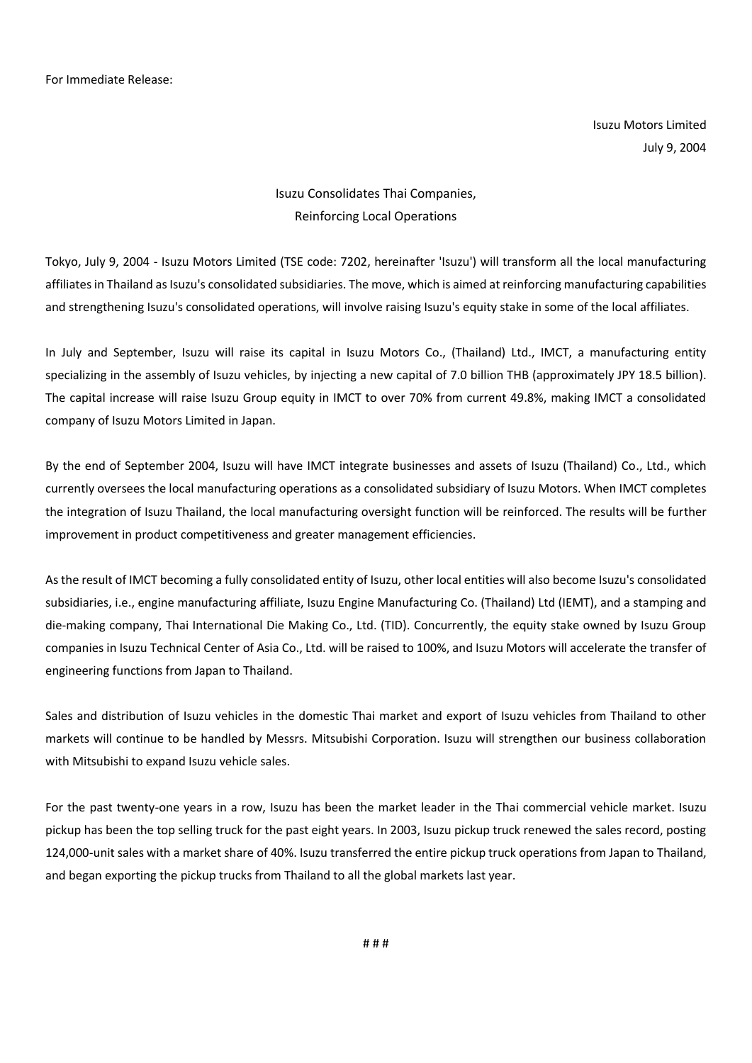For Immediate Release:

Isuzu Motors Limited July 9, 2004

## Isuzu Consolidates Thai Companies, Reinforcing Local Operations

Tokyo, July 9, 2004 - Isuzu Motors Limited (TSE code: 7202, hereinafter 'Isuzu') will transform all the local manufacturing affiliates in Thailand as Isuzu's consolidated subsidiaries. The move, which is aimed at reinforcing manufacturing capabilities and strengthening Isuzu's consolidated operations, will involve raising Isuzu's equity stake in some of the local affiliates.

In July and September, Isuzu will raise its capital in Isuzu Motors Co., (Thailand) Ltd., IMCT, a manufacturing entity specializing in the assembly of Isuzu vehicles, by injecting a new capital of 7.0 billion THB (approximately JPY 18.5 billion). The capital increase will raise Isuzu Group equity in IMCT to over 70% from current 49.8%, making IMCT a consolidated company of Isuzu Motors Limited in Japan.

By the end of September 2004, Isuzu will have IMCT integrate businesses and assets of Isuzu (Thailand) Co., Ltd., which currently oversees the local manufacturing operations as a consolidated subsidiary of Isuzu Motors. When IMCT completes the integration of Isuzu Thailand, the local manufacturing oversight function will be reinforced. The results will be further improvement in product competitiveness and greater management efficiencies.

As the result of IMCT becoming a fully consolidated entity of Isuzu, other local entities will also become Isuzu's consolidated subsidiaries, i.e., engine manufacturing affiliate, Isuzu Engine Manufacturing Co. (Thailand) Ltd (IEMT), and a stamping and die-making company, Thai International Die Making Co., Ltd. (TID). Concurrently, the equity stake owned by Isuzu Group companies in Isuzu Technical Center of Asia Co., Ltd. will be raised to 100%, and Isuzu Motors will accelerate the transfer of engineering functions from Japan to Thailand.

Sales and distribution of Isuzu vehicles in the domestic Thai market and export of Isuzu vehicles from Thailand to other markets will continue to be handled by Messrs. Mitsubishi Corporation. Isuzu will strengthen our business collaboration with Mitsubishi to expand Isuzu vehicle sales.

For the past twenty-one years in a row, Isuzu has been the market leader in the Thai commercial vehicle market. Isuzu pickup has been the top selling truck for the past eight years. In 2003, Isuzu pickup truck renewed the sales record, posting 124,000-unit sales with a market share of 40%. Isuzu transferred the entire pickup truck operations from Japan to Thailand, and began exporting the pickup trucks from Thailand to all the global markets last year.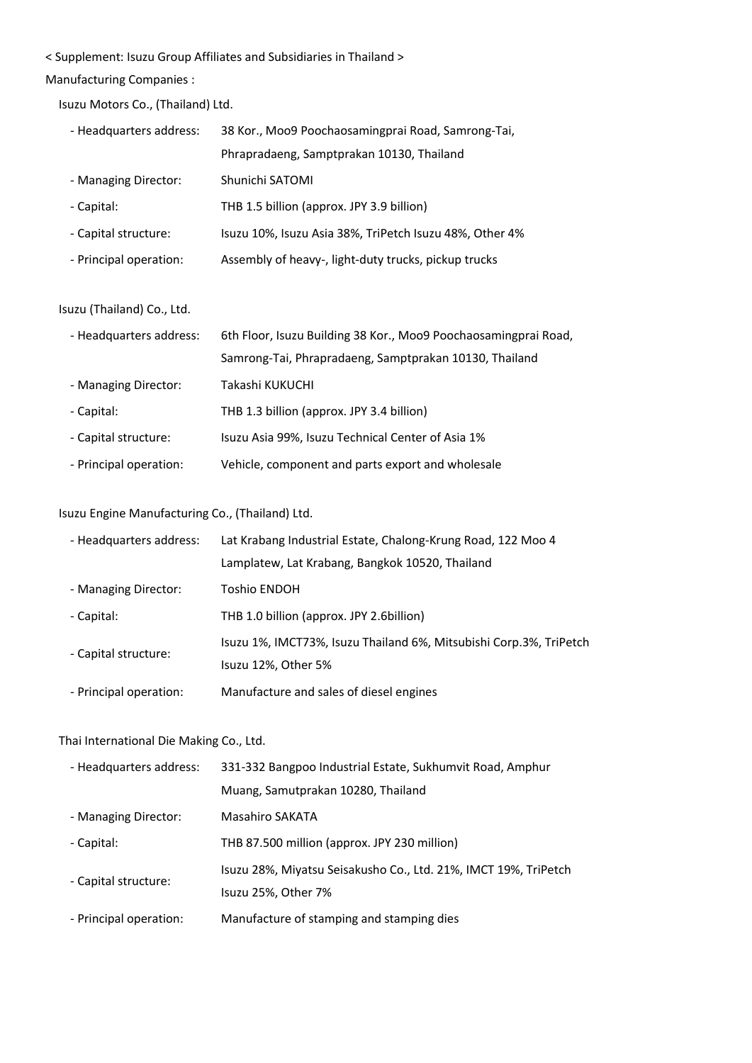## < Supplement: Isuzu Group Affiliates and Subsidiaries in Thailand >

## Manufacturing Companies :

Isuzu Motors Co., (Thailand) Ltd.

| - Headquarters address: | 38 Kor., Moo9 Poochaosamingprai Road, Samrong-Tai,      |
|-------------------------|---------------------------------------------------------|
|                         | Phrapradaeng, Samptprakan 10130, Thailand               |
| - Managing Director:    | Shunichi SATOMI                                         |
| - Capital:              | THB 1.5 billion (approx. JPY 3.9 billion)               |
| - Capital structure:    | Isuzu 10%, Isuzu Asia 38%, TriPetch Isuzu 48%, Other 4% |
| - Principal operation:  | Assembly of heavy-, light-duty trucks, pickup trucks    |

#### Isuzu (Thailand) Co., Ltd.

| - Headquarters address: | 6th Floor, Isuzu Building 38 Kor., Moo9 Poochaosamingprai Road, |
|-------------------------|-----------------------------------------------------------------|
|                         | Samrong-Tai, Phrapradaeng, Samptprakan 10130, Thailand          |
| - Managing Director:    | Takashi KUKUCHI                                                 |
| - Capital:              | THB 1.3 billion (approx. JPY 3.4 billion)                       |
| - Capital structure:    | Isuzu Asia 99%, Isuzu Technical Center of Asia 1%               |
| - Principal operation:  | Vehicle, component and parts export and wholesale               |

## Isuzu Engine Manufacturing Co., (Thailand) Ltd.

| - Headquarters address: | Lat Krabang Industrial Estate, Chalong-Krung Road, 122 Moo 4       |
|-------------------------|--------------------------------------------------------------------|
|                         | Lamplatew, Lat Krabang, Bangkok 10520, Thailand                    |
| - Managing Director:    | Toshio ENDOH                                                       |
| - Capital:              | THB 1.0 billion (approx. JPY 2.6 billion)                          |
| - Capital structure:    | Isuzu 1%, IMCT73%, Isuzu Thailand 6%, Mitsubishi Corp.3%, TriPetch |
|                         | Isuzu 12%, Other 5%                                                |
| - Principal operation:  | Manufacture and sales of diesel engines                            |

### Thai International Die Making Co., Ltd.

| - Headquarters address: | 331-332 Bangpoo Industrial Estate, Sukhumvit Road, Amphur                              |
|-------------------------|----------------------------------------------------------------------------------------|
|                         | Muang, Samutprakan 10280, Thailand                                                     |
| - Managing Director:    | <b>Masahiro SAKATA</b>                                                                 |
| - Capital:              | THB 87.500 million (approx. JPY 230 million)                                           |
| - Capital structure:    | Isuzu 28%, Miyatsu Seisakusho Co., Ltd. 21%, IMCT 19%, TriPetch<br>Isuzu 25%, Other 7% |
| - Principal operation:  | Manufacture of stamping and stamping dies                                              |